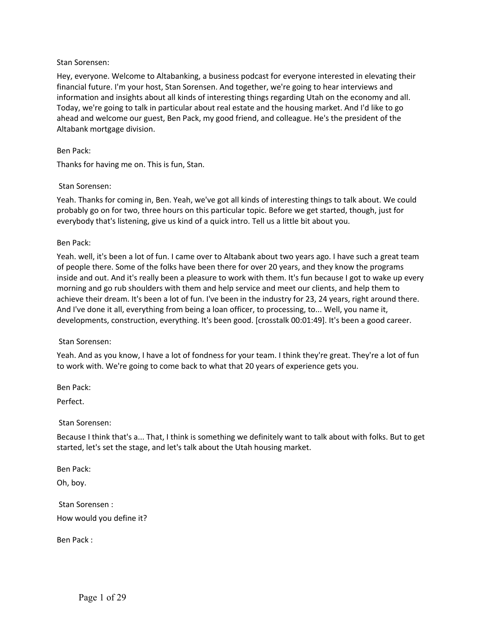Hey, everyone. Welcome to Altabanking, a business podcast for everyone interested in elevating their financial future. I'm your host, Stan Sorensen. And together, we're going to hear interviews and information and insights about all kinds of interesting things regarding Utah on the economy and all. Today, we're going to talk in particular about real estate and the housing market. And I'd like to go ahead and welcome our guest, Ben Pack, my good friend, and colleague. He's the president of the Altabank mortgage division.

#### Ben Pack:

Thanks for having me on. This is fun, Stan.

#### Stan Sorensen:

Yeah. Thanks for coming in, Ben. Yeah, we've got all kinds of interesting things to talk about. We could probably go on for two, three hours on this particular topic. Before we get started, though, just for everybody that's listening, give us kind of a quick intro. Tell us a little bit about you.

#### Ben Pack:

Yeah. well, it's been a lot of fun. I came over to Altabank about two years ago. I have such a great team of people there. Some of the folks have been there for over 20 years, and they know the programs inside and out. And it's really been a pleasure to work with them. It's fun because I got to wake up every morning and go rub shoulders with them and help service and meet our clients, and help them to achieve their dream. It's been a lot of fun. I've been in the industry for 23, 24 years, right around there. And I've done it all, everything from being a loan officer, to processing, to... Well, you name it, developments, construction, everything. It's been good. [crosstalk 00:01:49]. It's been a good career.

## Stan Sorensen:

Yeah. And as you know, I have a lot of fondness for your team. I think they're great. They're a lot of fun to work with. We're going to come back to what that 20 years of experience gets you.

Ben Pack:

Perfect.

Stan Sorensen:

Because I think that's a... That, I think is something we definitely want to talk about with folks. But to get started, let's set the stage, and let's talk about the Utah housing market.

Ben Pack: Oh, boy.

Stan Sorensen : How would you define it?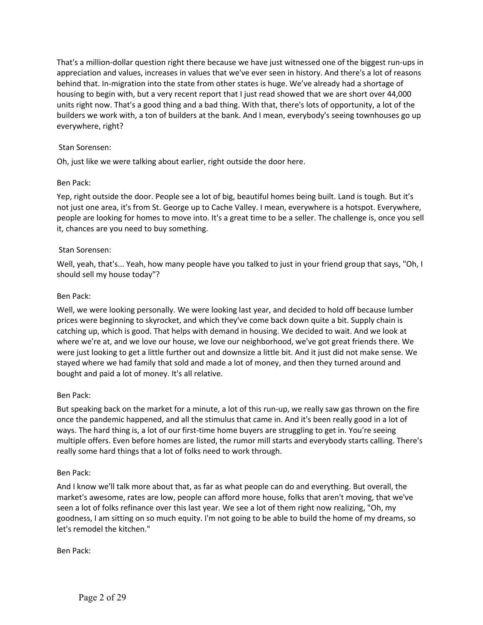That's a million-dollar question right there because we have just witnessed one of the biggest run-ups in appreciation and values, increases in values that we've ever seen in history. And there's a lot of reasons behind that. In-migration into the state from other states is huge. We've already had a shortage of housing to begin with, but a very recent report that I just read showed that we are short over 44,000 units right now. That's a good thing and a bad thing. With that, there's lots of opportunity, a lot of the builders we work with, a ton of builders at the bank. And I mean, everybody's seeing townhouses go up everywhere, right?

## Stan Sorensen:

Oh, just like we were talking about earlier, right outside the door here.

## Ben Pack:

Yep, right outside the door. People see a lot of big, beautiful homes being built. Land is tough. But it's not just one area, it's from St. George up to Cache Valley. I mean, everywhere is a hotspot. Everywhere, people are looking for homes to move into. It's a great time to be a seller. The challenge is, once you sell it, chances are you need to buy something.

# Stan Sorensen:

Well, yeah, that's... Yeah, how many people have you talked to just in your friend group that says, "Oh, I should sell my house today"?

## Ben Pack:

Well, we were looking personally. We were looking last year, and decided to hold off because lumber prices were beginning to skyrocket, and which they've come back down quite a bit. Supply chain is catching up, which is good. That helps with demand in housing. We decided to wait. And we look at where we're at, and we love our house, we love our neighborhood, we've got great friends there. We were just looking to get a little further out and downsize a little bit. And it just did not make sense. We stayed where we had family that sold and made a lot of money, and then they turned around and bought and paid a lot of money. It's all relative.

## Ben Pack:

But speaking back on the market for a minute, a lot of this run-up, we really saw gas thrown on the fire once the pandemic happened, and all the stimulus that came in. And it's been really good in a lot of ways. The hard thing is, a lot of our first-time home buyers are struggling to get in. You're seeing multiple offers. Even before homes are listed, the rumor mill starts and everybody starts calling. There's really some hard things that a lot of folks need to work through.

## Ben Pack:

And I know we'll talk more about that, as far as what people can do and everything. But overall, the market's awesome, rates are low, people can afford more house, folks that aren't moving, that we've seen a lot of folks refinance over this last year. We see a lot of them right now realizing, "Oh, my goodness, I am sitting on so much equity. I'm not going to be able to build the home of my dreams, so let's remodel the kitchen."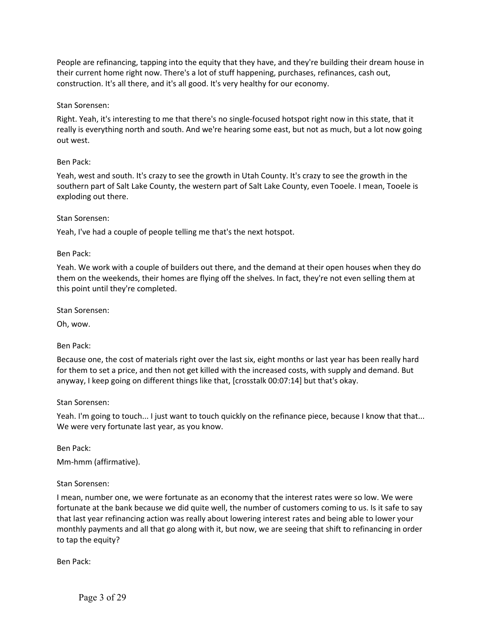People are refinancing, tapping into the equity that they have, and they're building their dream house in their current home right now. There's a lot of stuff happening, purchases, refinances, cash out, construction. It's all there, and it's all good. It's very healthy for our economy.

### Stan Sorensen:

Right. Yeah, it's interesting to me that there's no single-focused hotspot right now in this state, that it really is everything north and south. And we're hearing some east, but not as much, but a lot now going out west.

#### Ben Pack:

Yeah, west and south. It's crazy to see the growth in Utah County. It's crazy to see the growth in the southern part of Salt Lake County, the western part of Salt Lake County, even Tooele. I mean, Tooele is exploding out there.

#### Stan Sorensen:

Yeah, I've had a couple of people telling me that's the next hotspot.

#### Ben Pack:

Yeah. We work with a couple of builders out there, and the demand at their open houses when they do them on the weekends, their homes are flying off the shelves. In fact, they're not even selling them at this point until they're completed.

Stan Sorensen:

Oh, wow.

Ben Pack:

Because one, the cost of materials right over the last six, eight months or last year has been really hard for them to set a price, and then not get killed with the increased costs, with supply and demand. But anyway, I keep going on different things like that, [crosstalk 00:07:14] but that's okay.

#### Stan Sorensen:

Yeah. I'm going to touch... I just want to touch quickly on the refinance piece, because I know that that... We were very fortunate last year, as you know.

Ben Pack:

Mm-hmm (affirmative).

## Stan Sorensen:

I mean, number one, we were fortunate as an economy that the interest rates were so low. We were fortunate at the bank because we did quite well, the number of customers coming to us. Is it safe to say that last year refinancing action was really about lowering interest rates and being able to lower your monthly payments and all that go along with it, but now, we are seeing that shift to refinancing in order to tap the equity?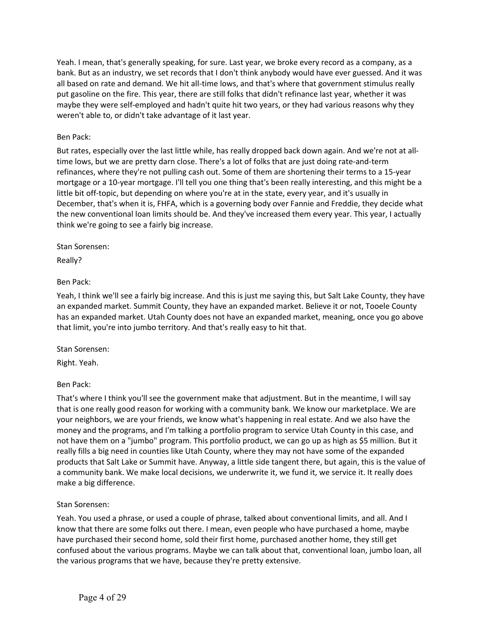Yeah. I mean, that's generally speaking, for sure. Last year, we broke every record as a company, as a bank. But as an industry, we set records that I don't think anybody would have ever guessed. And it was all based on rate and demand. We hit all-time lows, and that's where that government stimulus really put gasoline on the fire. This year, there are still folks that didn't refinance last year, whether it was maybe they were self-employed and hadn't quite hit two years, or they had various reasons why they weren't able to, or didn't take advantage of it last year.

### Ben Pack:

But rates, especially over the last little while, has really dropped back down again. And we're not at alltime lows, but we are pretty darn close. There's a lot of folks that are just doing rate-and-term refinances, where they're not pulling cash out. Some of them are shortening their terms to a 15-year mortgage or a 10-year mortgage. I'll tell you one thing that's been really interesting, and this might be a little bit off-topic, but depending on where you're at in the state, every year, and it's usually in December, that's when it is, FHFA, which is a governing body over Fannie and Freddie, they decide what the new conventional loan limits should be. And they've increased them every year. This year, I actually think we're going to see a fairly big increase.

Stan Sorensen:

Really?

## Ben Pack:

Yeah, I think we'll see a fairly big increase. And this is just me saying this, but Salt Lake County, they have an expanded market. Summit County, they have an expanded market. Believe it or not, Tooele County has an expanded market. Utah County does not have an expanded market, meaning, once you go above that limit, you're into jumbo territory. And that's really easy to hit that.

## Stan Sorensen:

Right. Yeah.

## Ben Pack:

That's where I think you'll see the government make that adjustment. But in the meantime, I will say that is one really good reason for working with a community bank. We know our marketplace. We are your neighbors, we are your friends, we know what's happening in real estate. And we also have the money and the programs, and I'm talking a portfolio program to service Utah County in this case, and not have them on a "jumbo" program. This portfolio product, we can go up as high as \$5 million. But it really fills a big need in counties like Utah County, where they may not have some of the expanded products that Salt Lake or Summit have. Anyway, a little side tangent there, but again, this is the value of a community bank. We make local decisions, we underwrite it, we fund it, we service it. It really does make a big difference.

#### Stan Sorensen:

Yeah. You used a phrase, or used a couple of phrase, talked about conventional limits, and all. And I know that there are some folks out there. I mean, even people who have purchased a home, maybe have purchased their second home, sold their first home, purchased another home, they still get confused about the various programs. Maybe we can talk about that, conventional loan, jumbo loan, all the various programs that we have, because they're pretty extensive.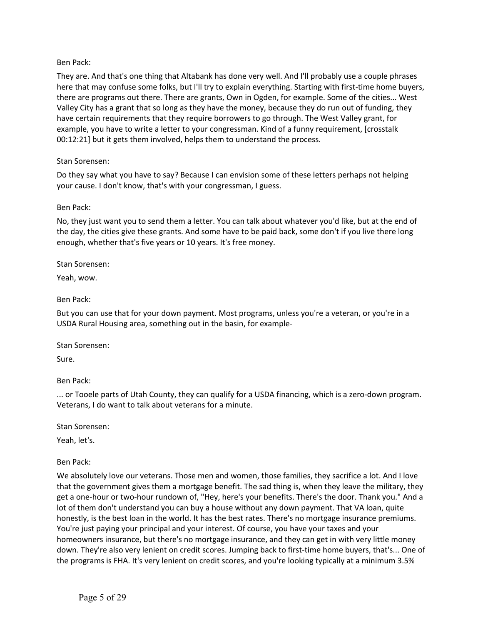They are. And that's one thing that Altabank has done very well. And I'll probably use a couple phrases here that may confuse some folks, but I'll try to explain everything. Starting with first-time home buyers, there are programs out there. There are grants, Own in Ogden, for example. Some of the cities... West Valley City has a grant that so long as they have the money, because they do run out of funding, they have certain requirements that they require borrowers to go through. The West Valley grant, for example, you have to write a letter to your congressman. Kind of a funny requirement, [crosstalk 00:12:21] but it gets them involved, helps them to understand the process.

#### Stan Sorensen:

Do they say what you have to say? Because I can envision some of these letters perhaps not helping your cause. I don't know, that's with your congressman, I guess.

#### Ben Pack:

No, they just want you to send them a letter. You can talk about whatever you'd like, but at the end of the day, the cities give these grants. And some have to be paid back, some don't if you live there long enough, whether that's five years or 10 years. It's free money.

Stan Sorensen:

Yeah, wow.

#### Ben Pack:

But you can use that for your down payment. Most programs, unless you're a veteran, or you're in a USDA Rural Housing area, something out in the basin, for example-

Stan Sorensen:

Sure.

Ben Pack:

... or Tooele parts of Utah County, they can qualify for a USDA financing, which is a zero-down program. Veterans, I do want to talk about veterans for a minute.

Stan Sorensen:

Yeah, let's.

## Ben Pack:

We absolutely love our veterans. Those men and women, those families, they sacrifice a lot. And I love that the government gives them a mortgage benefit. The sad thing is, when they leave the military, they get a one-hour or two-hour rundown of, "Hey, here's your benefits. There's the door. Thank you." And a lot of them don't understand you can buy a house without any down payment. That VA loan, quite honestly, is the best loan in the world. It has the best rates. There's no mortgage insurance premiums. You're just paying your principal and your interest. Of course, you have your taxes and your homeowners insurance, but there's no mortgage insurance, and they can get in with very little money down. They're also very lenient on credit scores. Jumping back to first-time home buyers, that's... One of the programs is FHA. It's very lenient on credit scores, and you're looking typically at a minimum 3.5%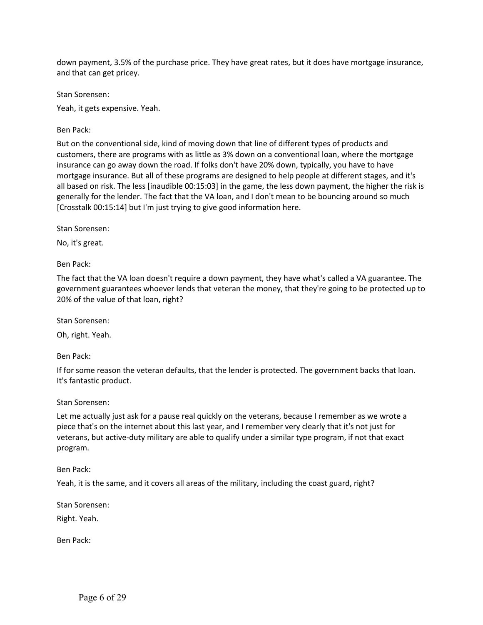down payment, 3.5% of the purchase price. They have great rates, but it does have mortgage insurance, and that can get pricey.

Stan Sorensen:

Yeah, it gets expensive. Yeah.

Ben Pack:

But on the conventional side, kind of moving down that line of different types of products and customers, there are programs with as little as 3% down on a conventional loan, where the mortgage insurance can go away down the road. If folks don't have 20% down, typically, you have to have mortgage insurance. But all of these programs are designed to help people at different stages, and it's all based on risk. The less [inaudible 00:15:03] in the game, the less down payment, the higher the risk is generally for the lender. The fact that the VA loan, and I don't mean to be bouncing around so much [Crosstalk 00:15:14] but I'm just trying to give good information here.

Stan Sorensen:

No, it's great.

Ben Pack:

The fact that the VA loan doesn't require a down payment, they have what's called a VA guarantee. The government guarantees whoever lends that veteran the money, that they're going to be protected up to 20% of the value of that loan, right?

Stan Sorensen:

Oh, right. Yeah.

Ben Pack:

If for some reason the veteran defaults, that the lender is protected. The government backs that loan. It's fantastic product.

Stan Sorensen:

Let me actually just ask for a pause real quickly on the veterans, because I remember as we wrote a piece that's on the internet about this last year, and I remember very clearly that it's not just for veterans, but active-duty military are able to qualify under a similar type program, if not that exact program.

Ben Pack:

Yeah, it is the same, and it covers all areas of the military, including the coast guard, right?

Stan Sorensen:

Right. Yeah.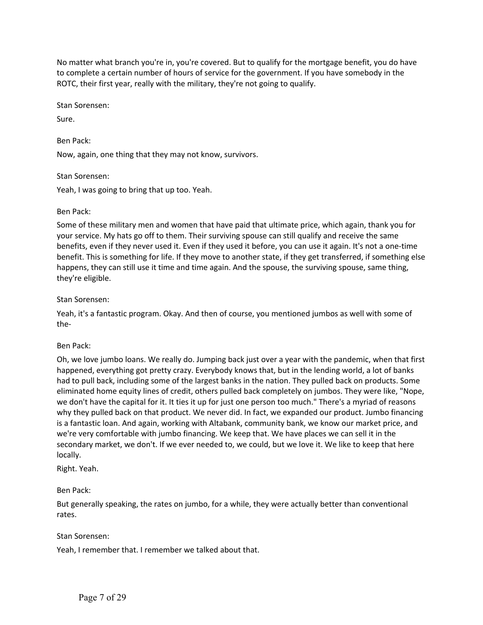No matter what branch you're in, you're covered. But to qualify for the mortgage benefit, you do have to complete a certain number of hours of service for the government. If you have somebody in the ROTC, their first year, really with the military, they're not going to qualify.

Stan Sorensen:

Sure.

Ben Pack:

Now, again, one thing that they may not know, survivors.

Stan Sorensen:

Yeah, I was going to bring that up too. Yeah.

## Ben Pack:

Some of these military men and women that have paid that ultimate price, which again, thank you for your service. My hats go off to them. Their surviving spouse can still qualify and receive the same benefits, even if they never used it. Even if they used it before, you can use it again. It's not a one-time benefit. This is something for life. If they move to another state, if they get transferred, if something else happens, they can still use it time and time again. And the spouse, the surviving spouse, same thing, they're eligible.

## Stan Sorensen:

Yeah, it's a fantastic program. Okay. And then of course, you mentioned jumbos as well with some of the-

## Ben Pack:

Oh, we love jumbo loans. We really do. Jumping back just over a year with the pandemic, when that first happened, everything got pretty crazy. Everybody knows that, but in the lending world, a lot of banks had to pull back, including some of the largest banks in the nation. They pulled back on products. Some eliminated home equity lines of credit, others pulled back completely on jumbos. They were like, "Nope, we don't have the capital for it. It ties it up for just one person too much." There's a myriad of reasons why they pulled back on that product. We never did. In fact, we expanded our product. Jumbo financing is a fantastic loan. And again, working with Altabank, community bank, we know our market price, and we're very comfortable with jumbo financing. We keep that. We have places we can sell it in the secondary market, we don't. If we ever needed to, we could, but we love it. We like to keep that here locally.

Right. Yeah.

## Ben Pack:

But generally speaking, the rates on jumbo, for a while, they were actually better than conventional rates.

## Stan Sorensen:

Yeah, I remember that. I remember we talked about that.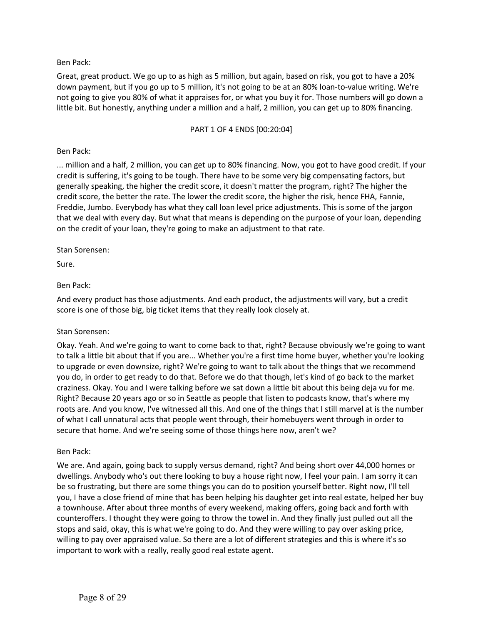Great, great product. We go up to as high as 5 million, but again, based on risk, you got to have a 20% down payment, but if you go up to 5 million, it's not going to be at an 80% loan-to-value writing. We're not going to give you 80% of what it appraises for, or what you buy it for. Those numbers will go down a little bit. But honestly, anything under a million and a half, 2 million, you can get up to 80% financing.

### PART 1 OF 4 ENDS [00:20:04]

### Ben Pack:

... million and a half, 2 million, you can get up to 80% financing. Now, you got to have good credit. If your credit is suffering, it's going to be tough. There have to be some very big compensating factors, but generally speaking, the higher the credit score, it doesn't matter the program, right? The higher the credit score, the better the rate. The lower the credit score, the higher the risk, hence FHA, Fannie, Freddie, Jumbo. Everybody has what they call loan level price adjustments. This is some of the jargon that we deal with every day. But what that means is depending on the purpose of your loan, depending on the credit of your loan, they're going to make an adjustment to that rate.

#### Stan Sorensen:

Sure.

#### Ben Pack:

And every product has those adjustments. And each product, the adjustments will vary, but a credit score is one of those big, big ticket items that they really look closely at.

## Stan Sorensen:

Okay. Yeah. And we're going to want to come back to that, right? Because obviously we're going to want to talk a little bit about that if you are... Whether you're a first time home buyer, whether you're looking to upgrade or even downsize, right? We're going to want to talk about the things that we recommend you do, in order to get ready to do that. Before we do that though, let's kind of go back to the market craziness. Okay. You and I were talking before we sat down a little bit about this being deja vu for me. Right? Because 20 years ago or so in Seattle as people that listen to podcasts know, that's where my roots are. And you know, I've witnessed all this. And one of the things that I still marvel at is the number of what I call unnatural acts that people went through, their homebuyers went through in order to secure that home. And we're seeing some of those things here now, aren't we?

#### Ben Pack:

We are. And again, going back to supply versus demand, right? And being short over 44,000 homes or dwellings. Anybody who's out there looking to buy a house right now, I feel your pain. I am sorry it can be so frustrating, but there are some things you can do to position yourself better. Right now, I'll tell you, I have a close friend of mine that has been helping his daughter get into real estate, helped her buy a townhouse. After about three months of every weekend, making offers, going back and forth with counteroffers. I thought they were going to throw the towel in. And they finally just pulled out all the stops and said, okay, this is what we're going to do. And they were willing to pay over asking price, willing to pay over appraised value. So there are a lot of different strategies and this is where it's so important to work with a really, really good real estate agent.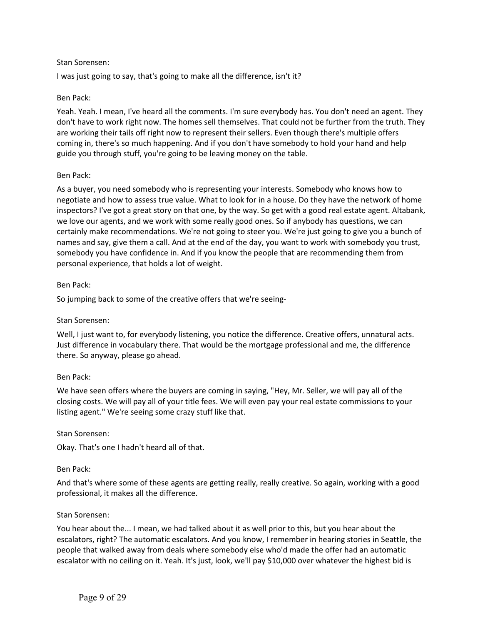I was just going to say, that's going to make all the difference, isn't it?

## Ben Pack:

Yeah. Yeah. I mean, I've heard all the comments. I'm sure everybody has. You don't need an agent. They don't have to work right now. The homes sell themselves. That could not be further from the truth. They are working their tails off right now to represent their sellers. Even though there's multiple offers coming in, there's so much happening. And if you don't have somebody to hold your hand and help guide you through stuff, you're going to be leaving money on the table.

## Ben Pack:

As a buyer, you need somebody who is representing your interests. Somebody who knows how to negotiate and how to assess true value. What to look for in a house. Do they have the network of home inspectors? I've got a great story on that one, by the way. So get with a good real estate agent. Altabank, we love our agents, and we work with some really good ones. So if anybody has questions, we can certainly make recommendations. We're not going to steer you. We're just going to give you a bunch of names and say, give them a call. And at the end of the day, you want to work with somebody you trust, somebody you have confidence in. And if you know the people that are recommending them from personal experience, that holds a lot of weight.

#### Ben Pack:

So jumping back to some of the creative offers that we're seeing-

## Stan Sorensen:

Well, I just want to, for everybody listening, you notice the difference. Creative offers, unnatural acts. Just difference in vocabulary there. That would be the mortgage professional and me, the difference there. So anyway, please go ahead.

## Ben Pack:

We have seen offers where the buyers are coming in saying, "Hey, Mr. Seller, we will pay all of the closing costs. We will pay all of your title fees. We will even pay your real estate commissions to your listing agent." We're seeing some crazy stuff like that.

## Stan Sorensen:

Okay. That's one I hadn't heard all of that.

## Ben Pack:

And that's where some of these agents are getting really, really creative. So again, working with a good professional, it makes all the difference.

#### Stan Sorensen:

You hear about the... I mean, we had talked about it as well prior to this, but you hear about the escalators, right? The automatic escalators. And you know, I remember in hearing stories in Seattle, the people that walked away from deals where somebody else who'd made the offer had an automatic escalator with no ceiling on it. Yeah. It's just, look, we'll pay \$10,000 over whatever the highest bid is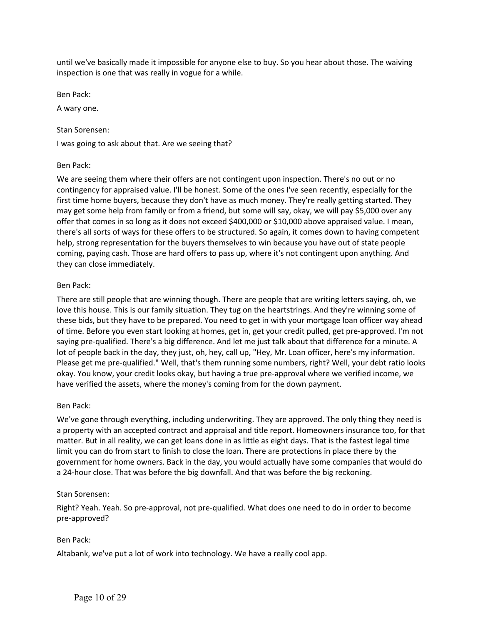until we've basically made it impossible for anyone else to buy. So you hear about those. The waiving inspection is one that was really in vogue for a while.

Ben Pack:

A wary one.

#### Stan Sorensen:

I was going to ask about that. Are we seeing that?

## Ben Pack:

We are seeing them where their offers are not contingent upon inspection. There's no out or no contingency for appraised value. I'll be honest. Some of the ones I've seen recently, especially for the first time home buyers, because they don't have as much money. They're really getting started. They may get some help from family or from a friend, but some will say, okay, we will pay \$5,000 over any offer that comes in so long as it does not exceed \$400,000 or \$10,000 above appraised value. I mean, there's all sorts of ways for these offers to be structured. So again, it comes down to having competent help, strong representation for the buyers themselves to win because you have out of state people coming, paying cash. Those are hard offers to pass up, where it's not contingent upon anything. And they can close immediately.

## Ben Pack:

There are still people that are winning though. There are people that are writing letters saying, oh, we love this house. This is our family situation. They tug on the heartstrings. And they're winning some of these bids, but they have to be prepared. You need to get in with your mortgage loan officer way ahead of time. Before you even start looking at homes, get in, get your credit pulled, get pre-approved. I'm not saying pre-qualified. There's a big difference. And let me just talk about that difference for a minute. A lot of people back in the day, they just, oh, hey, call up, "Hey, Mr. Loan officer, here's my information. Please get me pre-qualified." Well, that's them running some numbers, right? Well, your debt ratio looks okay. You know, your credit looks okay, but having a true pre-approval where we verified income, we have verified the assets, where the money's coming from for the down payment.

## Ben Pack:

We've gone through everything, including underwriting. They are approved. The only thing they need is a property with an accepted contract and appraisal and title report. Homeowners insurance too, for that matter. But in all reality, we can get loans done in as little as eight days. That is the fastest legal time limit you can do from start to finish to close the loan. There are protections in place there by the government for home owners. Back in the day, you would actually have some companies that would do a 24-hour close. That was before the big downfall. And that was before the big reckoning.

#### Stan Sorensen:

Right? Yeah. Yeah. So pre-approval, not pre-qualified. What does one need to do in order to become pre-approved?

## Ben Pack:

Altabank, we've put a lot of work into technology. We have a really cool app.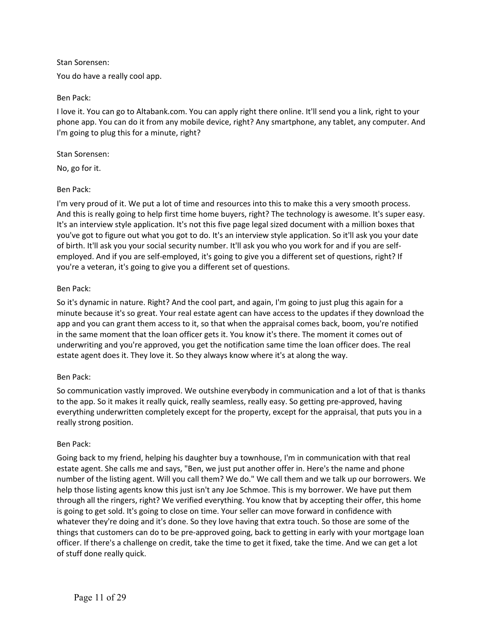You do have a really cool app.

## Ben Pack:

I love it. You can go to Altabank.com. You can apply right there online. It'll send you a link, right to your phone app. You can do it from any mobile device, right? Any smartphone, any tablet, any computer. And I'm going to plug this for a minute, right?

## Stan Sorensen:

No, go for it.

# Ben Pack:

I'm very proud of it. We put a lot of time and resources into this to make this a very smooth process. And this is really going to help first time home buyers, right? The technology is awesome. It's super easy. It's an interview style application. It's not this five page legal sized document with a million boxes that you've got to figure out what you got to do. It's an interview style application. So it'll ask you your date of birth. It'll ask you your social security number. It'll ask you who you work for and if you are selfemployed. And if you are self-employed, it's going to give you a different set of questions, right? If you're a veteran, it's going to give you a different set of questions.

# Ben Pack:

So it's dynamic in nature. Right? And the cool part, and again, I'm going to just plug this again for a minute because it's so great. Your real estate agent can have access to the updates if they download the app and you can grant them access to it, so that when the appraisal comes back, boom, you're notified in the same moment that the loan officer gets it. You know it's there. The moment it comes out of underwriting and you're approved, you get the notification same time the loan officer does. The real estate agent does it. They love it. So they always know where it's at along the way.

# Ben Pack:

So communication vastly improved. We outshine everybody in communication and a lot of that is thanks to the app. So it makes it really quick, really seamless, really easy. So getting pre-approved, having everything underwritten completely except for the property, except for the appraisal, that puts you in a really strong position.

## Ben Pack:

Going back to my friend, helping his daughter buy a townhouse, I'm in communication with that real estate agent. She calls me and says, "Ben, we just put another offer in. Here's the name and phone number of the listing agent. Will you call them? We do." We call them and we talk up our borrowers. We help those listing agents know this just isn't any Joe Schmoe. This is my borrower. We have put them through all the ringers, right? We verified everything. You know that by accepting their offer, this home is going to get sold. It's going to close on time. Your seller can move forward in confidence with whatever they're doing and it's done. So they love having that extra touch. So those are some of the things that customers can do to be pre-approved going, back to getting in early with your mortgage loan officer. If there's a challenge on credit, take the time to get it fixed, take the time. And we can get a lot of stuff done really quick.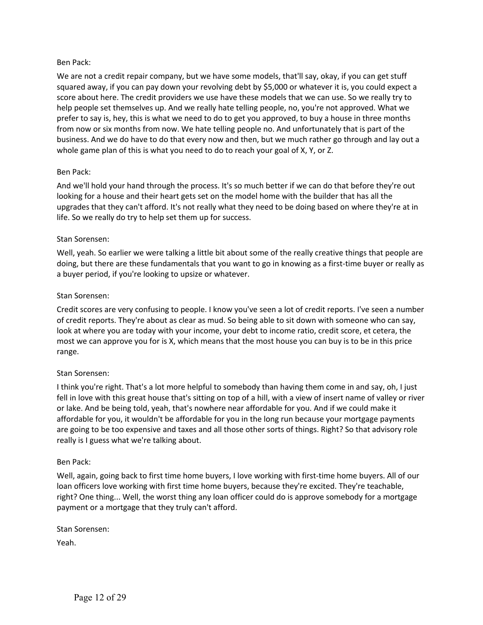We are not a credit repair company, but we have some models, that'll say, okay, if you can get stuff squared away, if you can pay down your revolving debt by \$5,000 or whatever it is, you could expect a score about here. The credit providers we use have these models that we can use. So we really try to help people set themselves up. And we really hate telling people, no, you're not approved. What we prefer to say is, hey, this is what we need to do to get you approved, to buy a house in three months from now or six months from now. We hate telling people no. And unfortunately that is part of the business. And we do have to do that every now and then, but we much rather go through and lay out a whole game plan of this is what you need to do to reach your goal of X, Y, or Z.

## Ben Pack:

And we'll hold your hand through the process. It's so much better if we can do that before they're out looking for a house and their heart gets set on the model home with the builder that has all the upgrades that they can't afford. It's not really what they need to be doing based on where they're at in life. So we really do try to help set them up for success.

#### Stan Sorensen:

Well, yeah. So earlier we were talking a little bit about some of the really creative things that people are doing, but there are these fundamentals that you want to go in knowing as a first-time buyer or really as a buyer period, if you're looking to upsize or whatever.

#### Stan Sorensen:

Credit scores are very confusing to people. I know you've seen a lot of credit reports. I've seen a number of credit reports. They're about as clear as mud. So being able to sit down with someone who can say, look at where you are today with your income, your debt to income ratio, credit score, et cetera, the most we can approve you for is X, which means that the most house you can buy is to be in this price range.

## Stan Sorensen:

I think you're right. That's a lot more helpful to somebody than having them come in and say, oh, I just fell in love with this great house that's sitting on top of a hill, with a view of insert name of valley or river or lake. And be being told, yeah, that's nowhere near affordable for you. And if we could make it affordable for you, it wouldn't be affordable for you in the long run because your mortgage payments are going to be too expensive and taxes and all those other sorts of things. Right? So that advisory role really is I guess what we're talking about.

#### Ben Pack:

Well, again, going back to first time home buyers, I love working with first-time home buyers. All of our loan officers love working with first time home buyers, because they're excited. They're teachable, right? One thing... Well, the worst thing any loan officer could do is approve somebody for a mortgage payment or a mortgage that they truly can't afford.

#### Stan Sorensen:

Yeah.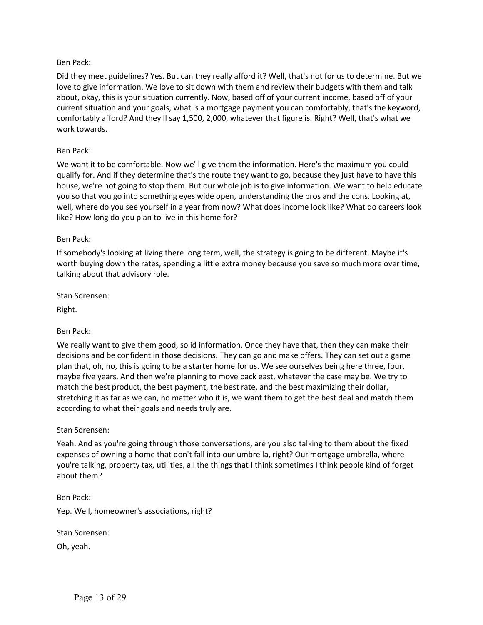Did they meet guidelines? Yes. But can they really afford it? Well, that's not for us to determine. But we love to give information. We love to sit down with them and review their budgets with them and talk about, okay, this is your situation currently. Now, based off of your current income, based off of your current situation and your goals, what is a mortgage payment you can comfortably, that's the keyword, comfortably afford? And they'll say 1,500, 2,000, whatever that figure is. Right? Well, that's what we work towards.

#### Ben Pack:

We want it to be comfortable. Now we'll give them the information. Here's the maximum you could qualify for. And if they determine that's the route they want to go, because they just have to have this house, we're not going to stop them. But our whole job is to give information. We want to help educate you so that you go into something eyes wide open, understanding the pros and the cons. Looking at, well, where do you see yourself in a year from now? What does income look like? What do careers look like? How long do you plan to live in this home for?

#### Ben Pack:

If somebody's looking at living there long term, well, the strategy is going to be different. Maybe it's worth buying down the rates, spending a little extra money because you save so much more over time, talking about that advisory role.

Stan Sorensen:

Right.

Ben Pack:

We really want to give them good, solid information. Once they have that, then they can make their decisions and be confident in those decisions. They can go and make offers. They can set out a game plan that, oh, no, this is going to be a starter home for us. We see ourselves being here three, four, maybe five years. And then we're planning to move back east, whatever the case may be. We try to match the best product, the best payment, the best rate, and the best maximizing their dollar, stretching it as far as we can, no matter who it is, we want them to get the best deal and match them according to what their goals and needs truly are.

#### Stan Sorensen:

Yeah. And as you're going through those conversations, are you also talking to them about the fixed expenses of owning a home that don't fall into our umbrella, right? Our mortgage umbrella, where you're talking, property tax, utilities, all the things that I think sometimes I think people kind of forget about them?

Ben Pack: Yep. Well, homeowner's associations, right?

Stan Sorensen:

Oh, yeah.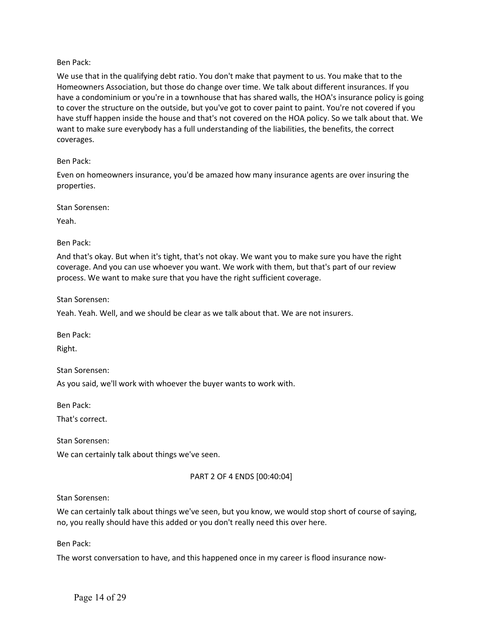We use that in the qualifying debt ratio. You don't make that payment to us. You make that to the Homeowners Association, but those do change over time. We talk about different insurances. If you have a condominium or you're in a townhouse that has shared walls, the HOA's insurance policy is going to cover the structure on the outside, but you've got to cover paint to paint. You're not covered if you have stuff happen inside the house and that's not covered on the HOA policy. So we talk about that. We want to make sure everybody has a full understanding of the liabilities, the benefits, the correct coverages.

## Ben Pack:

Even on homeowners insurance, you'd be amazed how many insurance agents are over insuring the properties.

Stan Sorensen:

Yeah.

Ben Pack:

And that's okay. But when it's tight, that's not okay. We want you to make sure you have the right coverage. And you can use whoever you want. We work with them, but that's part of our review process. We want to make sure that you have the right sufficient coverage.

Stan Sorensen:

Yeah. Yeah. Well, and we should be clear as we talk about that. We are not insurers.

Ben Pack:

Right.

Stan Sorensen:

As you said, we'll work with whoever the buyer wants to work with.

Ben Pack:

That's correct.

Stan Sorensen:

We can certainly talk about things we've seen.

## PART 2 OF 4 ENDS [00:40:04]

Stan Sorensen:

We can certainly talk about things we've seen, but you know, we would stop short of course of saying, no, you really should have this added or you don't really need this over here.

Ben Pack:

The worst conversation to have, and this happened once in my career is flood insurance now-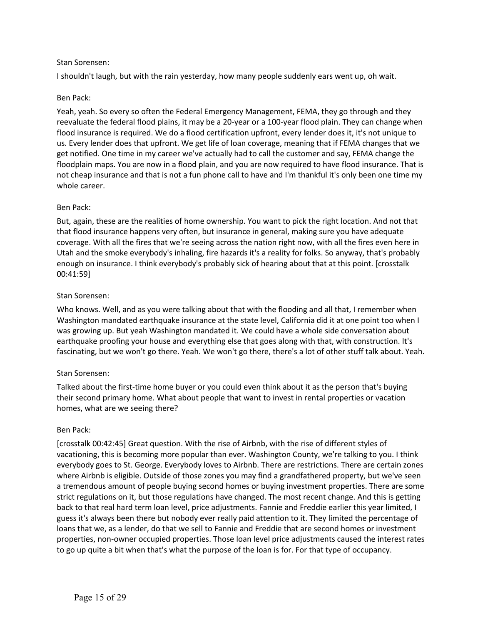I shouldn't laugh, but with the rain yesterday, how many people suddenly ears went up, oh wait.

### Ben Pack:

Yeah, yeah. So every so often the Federal Emergency Management, FEMA, they go through and they reevaluate the federal flood plains, it may be a 20-year or a 100-year flood plain. They can change when flood insurance is required. We do a flood certification upfront, every lender does it, it's not unique to us. Every lender does that upfront. We get life of loan coverage, meaning that if FEMA changes that we get notified. One time in my career we've actually had to call the customer and say, FEMA change the floodplain maps. You are now in a flood plain, and you are now required to have flood insurance. That is not cheap insurance and that is not a fun phone call to have and I'm thankful it's only been one time my whole career.

#### Ben Pack:

But, again, these are the realities of home ownership. You want to pick the right location. And not that that flood insurance happens very often, but insurance in general, making sure you have adequate coverage. With all the fires that we're seeing across the nation right now, with all the fires even here in Utah and the smoke everybody's inhaling, fire hazards it's a reality for folks. So anyway, that's probably enough on insurance. I think everybody's probably sick of hearing about that at this point. [crosstalk 00:41:59]

#### Stan Sorensen:

Who knows. Well, and as you were talking about that with the flooding and all that, I remember when Washington mandated earthquake insurance at the state level, California did it at one point too when I was growing up. But yeah Washington mandated it. We could have a whole side conversation about earthquake proofing your house and everything else that goes along with that, with construction. It's fascinating, but we won't go there. Yeah. We won't go there, there's a lot of other stuff talk about. Yeah.

## Stan Sorensen:

Talked about the first-time home buyer or you could even think about it as the person that's buying their second primary home. What about people that want to invest in rental properties or vacation homes, what are we seeing there?

#### Ben Pack:

[crosstalk 00:42:45] Great question. With the rise of Airbnb, with the rise of different styles of vacationing, this is becoming more popular than ever. Washington County, we're talking to you. I think everybody goes to St. George. Everybody loves to Airbnb. There are restrictions. There are certain zones where Airbnb is eligible. Outside of those zones you may find a grandfathered property, but we've seen a tremendous amount of people buying second homes or buying investment properties. There are some strict regulations on it, but those regulations have changed. The most recent change. And this is getting back to that real hard term loan level, price adjustments. Fannie and Freddie earlier this year limited, I guess it's always been there but nobody ever really paid attention to it. They limited the percentage of loans that we, as a lender, do that we sell to Fannie and Freddie that are second homes or investment properties, non-owner occupied properties. Those loan level price adjustments caused the interest rates to go up quite a bit when that's what the purpose of the loan is for. For that type of occupancy.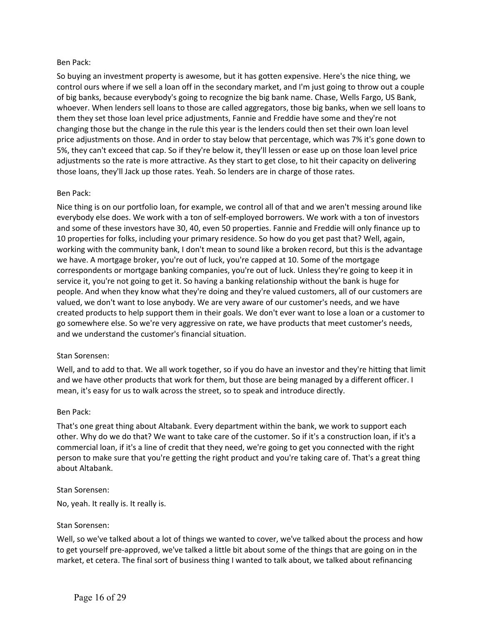So buying an investment property is awesome, but it has gotten expensive. Here's the nice thing, we control ours where if we sell a loan off in the secondary market, and I'm just going to throw out a couple of big banks, because everybody's going to recognize the big bank name. Chase, Wells Fargo, US Bank, whoever. When lenders sell loans to those are called aggregators, those big banks, when we sell loans to them they set those loan level price adjustments, Fannie and Freddie have some and they're not changing those but the change in the rule this year is the lenders could then set their own loan level price adjustments on those. And in order to stay below that percentage, which was 7% it's gone down to 5%, they can't exceed that cap. So if they're below it, they'll lessen or ease up on those loan level price adjustments so the rate is more attractive. As they start to get close, to hit their capacity on delivering those loans, they'll Jack up those rates. Yeah. So lenders are in charge of those rates.

#### Ben Pack:

Nice thing is on our portfolio loan, for example, we control all of that and we aren't messing around like everybody else does. We work with a ton of self-employed borrowers. We work with a ton of investors and some of these investors have 30, 40, even 50 properties. Fannie and Freddie will only finance up to 10 properties for folks, including your primary residence. So how do you get past that? Well, again, working with the community bank, I don't mean to sound like a broken record, but this is the advantage we have. A mortgage broker, you're out of luck, you're capped at 10. Some of the mortgage correspondents or mortgage banking companies, you're out of luck. Unless they're going to keep it in service it, you're not going to get it. So having a banking relationship without the bank is huge for people. And when they know what they're doing and they're valued customers, all of our customers are valued, we don't want to lose anybody. We are very aware of our customer's needs, and we have created products to help support them in their goals. We don't ever want to lose a loan or a customer to go somewhere else. So we're very aggressive on rate, we have products that meet customer's needs, and we understand the customer's financial situation.

## Stan Sorensen:

Well, and to add to that. We all work together, so if you do have an investor and they're hitting that limit and we have other products that work for them, but those are being managed by a different officer. I mean, it's easy for us to walk across the street, so to speak and introduce directly.

#### Ben Pack:

That's one great thing about Altabank. Every department within the bank, we work to support each other. Why do we do that? We want to take care of the customer. So if it's a construction loan, if it's a commercial loan, if it's a line of credit that they need, we're going to get you connected with the right person to make sure that you're getting the right product and you're taking care of. That's a great thing about Altabank.

#### Stan Sorensen:

No, yeah. It really is. It really is.

#### Stan Sorensen:

Well, so we've talked about a lot of things we wanted to cover, we've talked about the process and how to get yourself pre-approved, we've talked a little bit about some of the things that are going on in the market, et cetera. The final sort of business thing I wanted to talk about, we talked about refinancing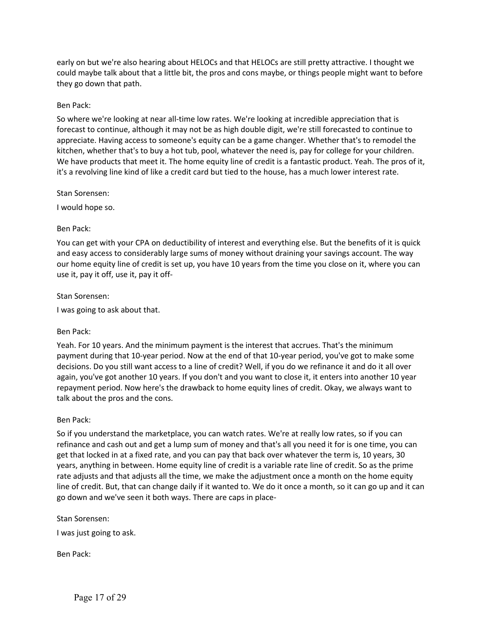early on but we're also hearing about HELOCs and that HELOCs are still pretty attractive. I thought we could maybe talk about that a little bit, the pros and cons maybe, or things people might want to before they go down that path.

## Ben Pack:

So where we're looking at near all-time low rates. We're looking at incredible appreciation that is forecast to continue, although it may not be as high double digit, we're still forecasted to continue to appreciate. Having access to someone's equity can be a game changer. Whether that's to remodel the kitchen, whether that's to buy a hot tub, pool, whatever the need is, pay for college for your children. We have products that meet it. The home equity line of credit is a fantastic product. Yeah. The pros of it, it's a revolving line kind of like a credit card but tied to the house, has a much lower interest rate.

Stan Sorensen:

I would hope so.

#### Ben Pack:

You can get with your CPA on deductibility of interest and everything else. But the benefits of it is quick and easy access to considerably large sums of money without draining your savings account. The way our home equity line of credit is set up, you have 10 years from the time you close on it, where you can use it, pay it off, use it, pay it off-

#### Stan Sorensen:

I was going to ask about that.

## Ben Pack:

Yeah. For 10 years. And the minimum payment is the interest that accrues. That's the minimum payment during that 10-year period. Now at the end of that 10-year period, you've got to make some decisions. Do you still want access to a line of credit? Well, if you do we refinance it and do it all over again, you've got another 10 years. If you don't and you want to close it, it enters into another 10 year repayment period. Now here's the drawback to home equity lines of credit. Okay, we always want to talk about the pros and the cons.

#### Ben Pack:

So if you understand the marketplace, you can watch rates. We're at really low rates, so if you can refinance and cash out and get a lump sum of money and that's all you need it for is one time, you can get that locked in at a fixed rate, and you can pay that back over whatever the term is, 10 years, 30 years, anything in between. Home equity line of credit is a variable rate line of credit. So as the prime rate adjusts and that adjusts all the time, we make the adjustment once a month on the home equity line of credit. But, that can change daily if it wanted to. We do it once a month, so it can go up and it can go down and we've seen it both ways. There are caps in place-

#### Stan Sorensen:

I was just going to ask.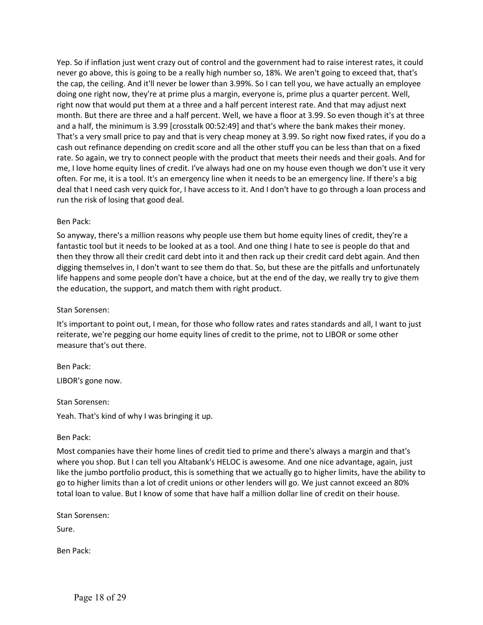Yep. So if inflation just went crazy out of control and the government had to raise interest rates, it could never go above, this is going to be a really high number so, 18%. We aren't going to exceed that, that's the cap, the ceiling. And it'll never be lower than 3.99%. So I can tell you, we have actually an employee doing one right now, they're at prime plus a margin, everyone is, prime plus a quarter percent. Well, right now that would put them at a three and a half percent interest rate. And that may adjust next month. But there are three and a half percent. Well, we have a floor at 3.99. So even though it's at three and a half, the minimum is 3.99 [crosstalk 00:52:49] and that's where the bank makes their money. That's a very small price to pay and that is very cheap money at 3.99. So right now fixed rates, if you do a cash out refinance depending on credit score and all the other stuff you can be less than that on a fixed rate. So again, we try to connect people with the product that meets their needs and their goals. And for me, I love home equity lines of credit. I've always had one on my house even though we don't use it very often. For me, it is a tool. It's an emergency line when it needs to be an emergency line. If there's a big deal that I need cash very quick for, I have access to it. And I don't have to go through a loan process and run the risk of losing that good deal.

## Ben Pack:

So anyway, there's a million reasons why people use them but home equity lines of credit, they're a fantastic tool but it needs to be looked at as a tool. And one thing I hate to see is people do that and then they throw all their credit card debt into it and then rack up their credit card debt again. And then digging themselves in, I don't want to see them do that. So, but these are the pitfalls and unfortunately life happens and some people don't have a choice, but at the end of the day, we really try to give them the education, the support, and match them with right product.

#### Stan Sorensen:

It's important to point out, I mean, for those who follow rates and rates standards and all, I want to just reiterate, we're pegging our home equity lines of credit to the prime, not to LIBOR or some other measure that's out there.

Ben Pack: LIBOR's gone now.

Stan Sorensen:

Yeah. That's kind of why I was bringing it up.

Ben Pack:

Most companies have their home lines of credit tied to prime and there's always a margin and that's where you shop. But I can tell you Altabank's HELOC is awesome. And one nice advantage, again, just like the jumbo portfolio product, this is something that we actually go to higher limits, have the ability to go to higher limits than a lot of credit unions or other lenders will go. We just cannot exceed an 80% total loan to value. But I know of some that have half a million dollar line of credit on their house.

Stan Sorensen:

Sure.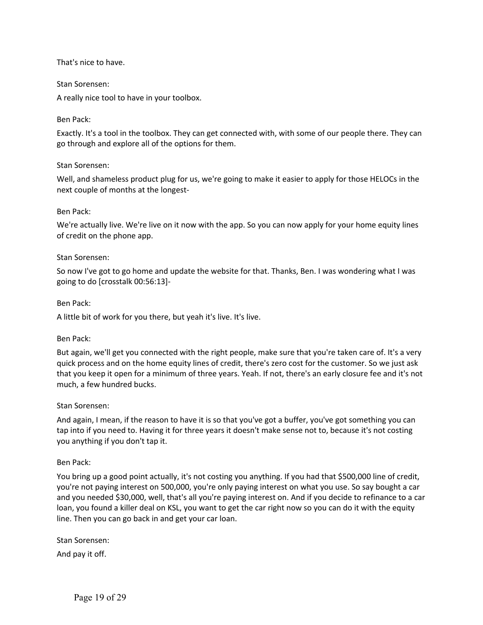## That's nice to have.

#### Stan Sorensen:

A really nice tool to have in your toolbox.

### Ben Pack:

Exactly. It's a tool in the toolbox. They can get connected with, with some of our people there. They can go through and explore all of the options for them.

#### Stan Sorensen:

Well, and shameless product plug for us, we're going to make it easier to apply for those HELOCs in the next couple of months at the longest-

#### Ben Pack:

We're actually live. We're live on it now with the app. So you can now apply for your home equity lines of credit on the phone app.

#### Stan Sorensen:

So now I've got to go home and update the website for that. Thanks, Ben. I was wondering what I was going to do [crosstalk 00:56:13]-

#### Ben Pack:

A little bit of work for you there, but yeah it's live. It's live.

#### Ben Pack:

But again, we'll get you connected with the right people, make sure that you're taken care of. It's a very quick process and on the home equity lines of credit, there's zero cost for the customer. So we just ask that you keep it open for a minimum of three years. Yeah. If not, there's an early closure fee and it's not much, a few hundred bucks.

#### Stan Sorensen:

And again, I mean, if the reason to have it is so that you've got a buffer, you've got something you can tap into if you need to. Having it for three years it doesn't make sense not to, because it's not costing you anything if you don't tap it.

#### Ben Pack:

You bring up a good point actually, it's not costing you anything. If you had that \$500,000 line of credit, you're not paying interest on 500,000, you're only paying interest on what you use. So say bought a car and you needed \$30,000, well, that's all you're paying interest on. And if you decide to refinance to a car loan, you found a killer deal on KSL, you want to get the car right now so you can do it with the equity line. Then you can go back in and get your car loan.

Stan Sorensen:

And pay it off.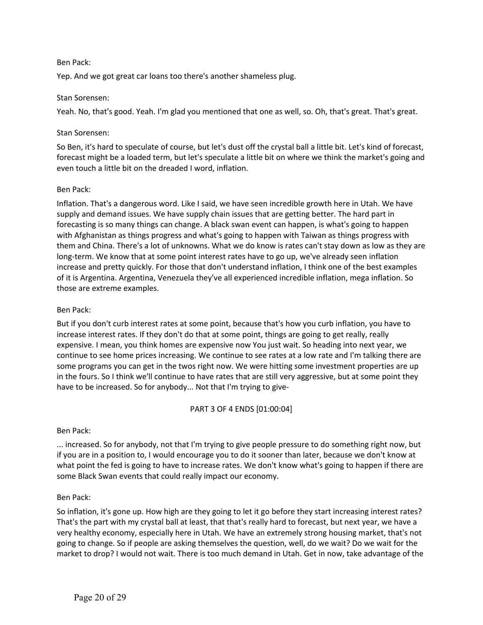Yep. And we got great car loans too there's another shameless plug.

#### Stan Sorensen:

Yeah. No, that's good. Yeah. I'm glad you mentioned that one as well, so. Oh, that's great. That's great.

#### Stan Sorensen:

So Ben, it's hard to speculate of course, but let's dust off the crystal ball a little bit. Let's kind of forecast, forecast might be a loaded term, but let's speculate a little bit on where we think the market's going and even touch a little bit on the dreaded I word, inflation.

#### Ben Pack:

Inflation. That's a dangerous word. Like I said, we have seen incredible growth here in Utah. We have supply and demand issues. We have supply chain issues that are getting better. The hard part in forecasting is so many things can change. A black swan event can happen, is what's going to happen with Afghanistan as things progress and what's going to happen with Taiwan as things progress with them and China. There's a lot of unknowns. What we do know is rates can't stay down as low as they are long-term. We know that at some point interest rates have to go up, we've already seen inflation increase and pretty quickly. For those that don't understand inflation, I think one of the best examples of it is Argentina. Argentina, Venezuela they've all experienced incredible inflation, mega inflation. So those are extreme examples.

### Ben Pack:

But if you don't curb interest rates at some point, because that's how you curb inflation, you have to increase interest rates. If they don't do that at some point, things are going to get really, really expensive. I mean, you think homes are expensive now You just wait. So heading into next year, we continue to see home prices increasing. We continue to see rates at a low rate and I'm talking there are some programs you can get in the twos right now. We were hitting some investment properties are up in the fours. So I think we'll continue to have rates that are still very aggressive, but at some point they have to be increased. So for anybody... Not that I'm trying to give-

## PART 3 OF 4 ENDS [01:00:04]

## Ben Pack:

... increased. So for anybody, not that I'm trying to give people pressure to do something right now, but if you are in a position to, I would encourage you to do it sooner than later, because we don't know at what point the fed is going to have to increase rates. We don't know what's going to happen if there are some Black Swan events that could really impact our economy.

## Ben Pack:

So inflation, it's gone up. How high are they going to let it go before they start increasing interest rates? That's the part with my crystal ball at least, that that's really hard to forecast, but next year, we have a very healthy economy, especially here in Utah. We have an extremely strong housing market, that's not going to change. So if people are asking themselves the question, well, do we wait? Do we wait for the market to drop? I would not wait. There is too much demand in Utah. Get in now, take advantage of the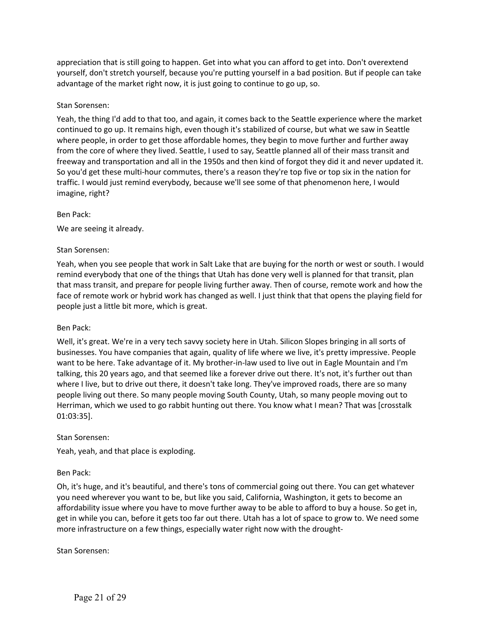appreciation that is still going to happen. Get into what you can afford to get into. Don't overextend yourself, don't stretch yourself, because you're putting yourself in a bad position. But if people can take advantage of the market right now, it is just going to continue to go up, so.

## Stan Sorensen:

Yeah, the thing I'd add to that too, and again, it comes back to the Seattle experience where the market continued to go up. It remains high, even though it's stabilized of course, but what we saw in Seattle where people, in order to get those affordable homes, they begin to move further and further away from the core of where they lived. Seattle, I used to say, Seattle planned all of their mass transit and freeway and transportation and all in the 1950s and then kind of forgot they did it and never updated it. So you'd get these multi-hour commutes, there's a reason they're top five or top six in the nation for traffic. I would just remind everybody, because we'll see some of that phenomenon here, I would imagine, right?

## Ben Pack:

We are seeing it already.

# Stan Sorensen:

Yeah, when you see people that work in Salt Lake that are buying for the north or west or south. I would remind everybody that one of the things that Utah has done very well is planned for that transit, plan that mass transit, and prepare for people living further away. Then of course, remote work and how the face of remote work or hybrid work has changed as well. I just think that that opens the playing field for people just a little bit more, which is great.

## Ben Pack:

Well, it's great. We're in a very tech savvy society here in Utah. Silicon Slopes bringing in all sorts of businesses. You have companies that again, quality of life where we live, it's pretty impressive. People want to be here. Take advantage of it. My brother-in-law used to live out in Eagle Mountain and I'm talking, this 20 years ago, and that seemed like a forever drive out there. It's not, it's further out than where I live, but to drive out there, it doesn't take long. They've improved roads, there are so many people living out there. So many people moving South County, Utah, so many people moving out to Herriman, which we used to go rabbit hunting out there. You know what I mean? That was [crosstalk 01:03:35].

## Stan Sorensen:

Yeah, yeah, and that place is exploding.

## Ben Pack:

Oh, it's huge, and it's beautiful, and there's tons of commercial going out there. You can get whatever you need wherever you want to be, but like you said, California, Washington, it gets to become an affordability issue where you have to move further away to be able to afford to buy a house. So get in, get in while you can, before it gets too far out there. Utah has a lot of space to grow to. We need some more infrastructure on a few things, especially water right now with the drought-

Stan Sorensen: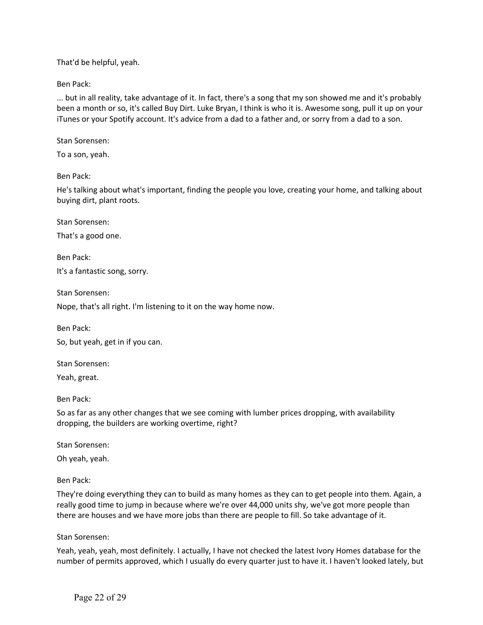That'd be helpful, yeah.

Ben Pack:

... but in all reality, take advantage of it. In fact, there's a song that my son showed me and it's probably been a month or so, it's called Buy Dirt. Luke Bryan, I think is who it is. Awesome song, pull it up on your iTunes or your Spotify account. It's advice from a dad to a father and, or sorry from a dad to a son.

Stan Sorensen:

To a son, yeah.

Ben Pack:

He's talking about what's important, finding the people you love, creating your home, and talking about buying dirt, plant roots.

Stan Sorensen:

That's a good one.

Ben Pack: It's a fantastic song, sorry.

Stan Sorensen:

Nope, that's all right. I'm listening to it on the way home now.

Ben Pack:

So, but yeah, get in if you can.

Stan Sorensen:

Yeah, great.

Ben Pack:

So as far as any other changes that we see coming with lumber prices dropping, with availability dropping, the builders are working overtime, right?

Stan Sorensen:

Oh yeah, yeah.

Ben Pack:

They're doing everything they can to build as many homes as they can to get people into them. Again, a really good time to jump in because where we're over 44,000 units shy, we've got more people than there are houses and we have more jobs than there are people to fill. So take advantage of it.

Stan Sorensen:

Yeah, yeah, yeah, most definitely. I actually, I have not checked the latest Ivory Homes database for the number of permits approved, which I usually do every quarter just to have it. I haven't looked lately, but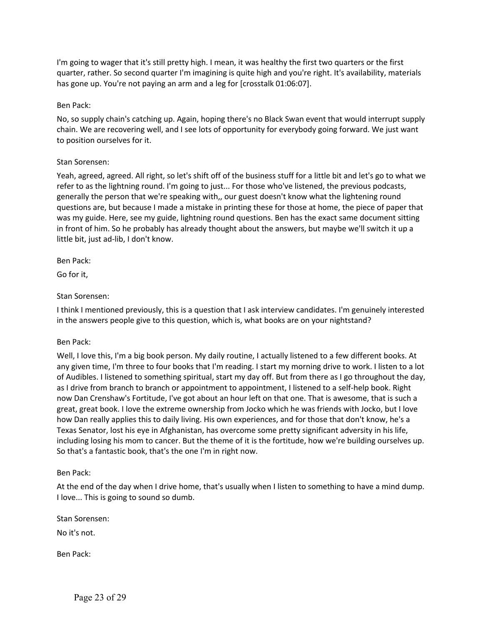I'm going to wager that it's still pretty high. I mean, it was healthy the first two quarters or the first quarter, rather. So second quarter I'm imagining is quite high and you're right. It's availability, materials has gone up. You're not paying an arm and a leg for [crosstalk 01:06:07].

# Ben Pack:

No, so supply chain's catching up. Again, hoping there's no Black Swan event that would interrupt supply chain. We are recovering well, and I see lots of opportunity for everybody going forward. We just want to position ourselves for it.

# Stan Sorensen:

Yeah, agreed, agreed. All right, so let's shift off of the business stuff for a little bit and let's go to what we refer to as the lightning round. I'm going to just... For those who've listened, the previous podcasts, generally the person that we're speaking with,, our guest doesn't know what the lightening round questions are, but because I made a mistake in printing these for those at home, the piece of paper that was my guide. Here, see my guide, lightning round questions. Ben has the exact same document sitting in front of him. So he probably has already thought about the answers, but maybe we'll switch it up a little bit, just ad-lib, I don't know.

Ben Pack:

Go for it,

# Stan Sorensen:

I think I mentioned previously, this is a question that I ask interview candidates. I'm genuinely interested in the answers people give to this question, which is, what books are on your nightstand?

## Ben Pack:

Well, I love this, I'm a big book person. My daily routine, I actually listened to a few different books. At any given time, I'm three to four books that I'm reading. I start my morning drive to work. I listen to a lot of Audibles. I listened to something spiritual, start my day off. But from there as I go throughout the day, as I drive from branch to branch or appointment to appointment, I listened to a self-help book. Right now Dan Crenshaw's Fortitude, I've got about an hour left on that one. That is awesome, that is such a great, great book. I love the extreme ownership from Jocko which he was friends with Jocko, but I love how Dan really applies this to daily living. His own experiences, and for those that don't know, he's a Texas Senator, lost his eye in Afghanistan, has overcome some pretty significant adversity in his life, including losing his mom to cancer. But the theme of it is the fortitude, how we're building ourselves up. So that's a fantastic book, that's the one I'm in right now.

## Ben Pack:

At the end of the day when I drive home, that's usually when I listen to something to have a mind dump. I love... This is going to sound so dumb.

Stan Sorensen:

No it's not.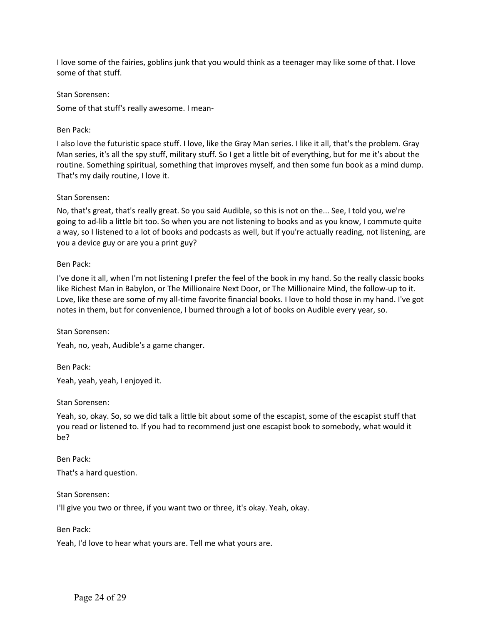I love some of the fairies, goblins junk that you would think as a teenager may like some of that. I love some of that stuff.

Stan Sorensen:

Some of that stuff's really awesome. I mean-

## Ben Pack:

I also love the futuristic space stuff. I love, like the Gray Man series. I like it all, that's the problem. Gray Man series, it's all the spy stuff, military stuff. So I get a little bit of everything, but for me it's about the routine. Something spiritual, something that improves myself, and then some fun book as a mind dump. That's my daily routine, I love it.

## Stan Sorensen:

No, that's great, that's really great. So you said Audible, so this is not on the... See, I told you, we're going to ad-lib a little bit too. So when you are not listening to books and as you know, I commute quite a way, so I listened to a lot of books and podcasts as well, but if you're actually reading, not listening, are you a device guy or are you a print guy?

# Ben Pack:

I've done it all, when I'm not listening I prefer the feel of the book in my hand. So the really classic books like Richest Man in Babylon, or The Millionaire Next Door, or The Millionaire Mind, the follow-up to it. Love, like these are some of my all-time favorite financial books. I love to hold those in my hand. I've got notes in them, but for convenience, I burned through a lot of books on Audible every year, so.

Stan Sorensen:

Yeah, no, yeah, Audible's a game changer.

Ben Pack: Yeah, yeah, yeah, I enjoyed it.

Stan Sorensen:

Yeah, so, okay. So, so we did talk a little bit about some of the escapist, some of the escapist stuff that you read or listened to. If you had to recommend just one escapist book to somebody, what would it be?

Ben Pack:

That's a hard question.

Stan Sorensen:

I'll give you two or three, if you want two or three, it's okay. Yeah, okay.

Ben Pack:

Yeah, I'd love to hear what yours are. Tell me what yours are.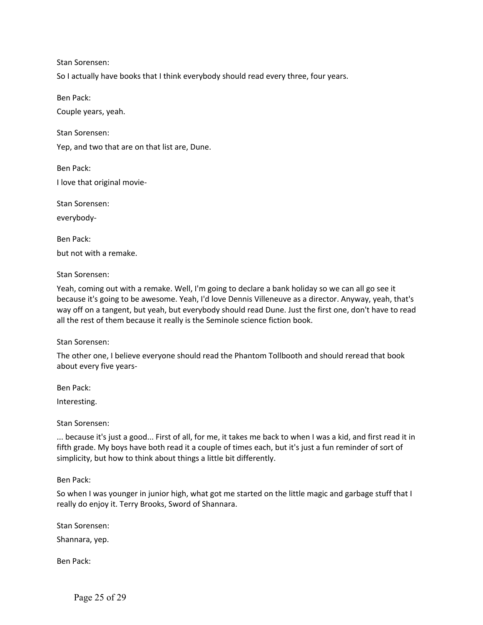So I actually have books that I think everybody should read every three, four years.

Ben Pack:

Couple years, yeah.

Stan Sorensen:

Yep, and two that are on that list are, Dune.

Ben Pack: I love that original movie-

Stan Sorensen: everybody-

Ben Pack: but not with a remake.

Stan Sorensen:

Yeah, coming out with a remake. Well, I'm going to declare a bank holiday so we can all go see it because it's going to be awesome. Yeah, I'd love Dennis Villeneuve as a director. Anyway, yeah, that's way off on a tangent, but yeah, but everybody should read Dune. Just the first one, don't have to read all the rest of them because it really is the Seminole science fiction book.

Stan Sorensen:

The other one, I believe everyone should read the Phantom Tollbooth and should reread that book about every five years-

Ben Pack:

Interesting.

Stan Sorensen:

... because it's just a good... First of all, for me, it takes me back to when I was a kid, and first read it in fifth grade. My boys have both read it a couple of times each, but it's just a fun reminder of sort of simplicity, but how to think about things a little bit differently.

Ben Pack:

So when I was younger in junior high, what got me started on the little magic and garbage stuff that I really do enjoy it. Terry Brooks, Sword of Shannara.

Stan Sorensen:

Shannara, yep.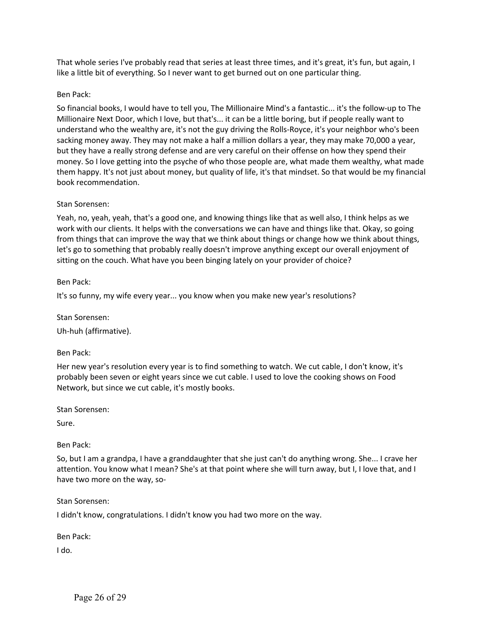That whole series I've probably read that series at least three times, and it's great, it's fun, but again, I like a little bit of everything. So I never want to get burned out on one particular thing.

### Ben Pack:

So financial books, I would have to tell you, The Millionaire Mind's a fantastic... it's the follow-up to The Millionaire Next Door, which I love, but that's... it can be a little boring, but if people really want to understand who the wealthy are, it's not the guy driving the Rolls-Royce, it's your neighbor who's been sacking money away. They may not make a half a million dollars a year, they may make 70,000 a year, but they have a really strong defense and are very careful on their offense on how they spend their money. So I love getting into the psyche of who those people are, what made them wealthy, what made them happy. It's not just about money, but quality of life, it's that mindset. So that would be my financial book recommendation.

#### Stan Sorensen:

Yeah, no, yeah, yeah, that's a good one, and knowing things like that as well also, I think helps as we work with our clients. It helps with the conversations we can have and things like that. Okay, so going from things that can improve the way that we think about things or change how we think about things, let's go to something that probably really doesn't improve anything except our overall enjoyment of sitting on the couch. What have you been binging lately on your provider of choice?

Ben Pack:

It's so funny, my wife every year... you know when you make new year's resolutions?

Stan Sorensen:

Uh-huh (affirmative).

#### Ben Pack:

Her new year's resolution every year is to find something to watch. We cut cable, I don't know, it's probably been seven or eight years since we cut cable. I used to love the cooking shows on Food Network, but since we cut cable, it's mostly books.

Stan Sorensen:

Sure.

#### Ben Pack:

So, but I am a grandpa, I have a granddaughter that she just can't do anything wrong. She... I crave her attention. You know what I mean? She's at that point where she will turn away, but I, I love that, and I have two more on the way, so-

Stan Sorensen:

I didn't know, congratulations. I didn't know you had two more on the way.

Ben Pack:

I do.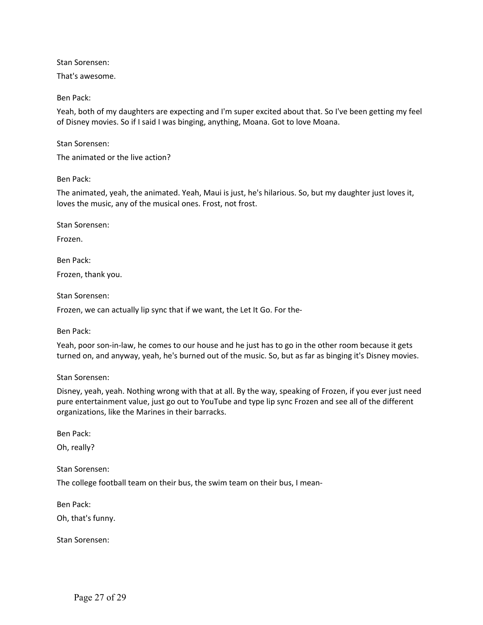That's awesome.

Ben Pack:

Yeah, both of my daughters are expecting and I'm super excited about that. So I've been getting my feel of Disney movies. So if I said I was binging, anything, Moana. Got to love Moana.

Stan Sorensen:

The animated or the live action?

Ben Pack:

The animated, yeah, the animated. Yeah, Maui is just, he's hilarious. So, but my daughter just loves it, loves the music, any of the musical ones. Frost, not frost.

Stan Sorensen:

Frozen.

Ben Pack: Frozen, thank you.

Stan Sorensen:

Frozen, we can actually lip sync that if we want, the Let It Go. For the-

Ben Pack:

Yeah, poor son-in-law, he comes to our house and he just has to go in the other room because it gets turned on, and anyway, yeah, he's burned out of the music. So, but as far as binging it's Disney movies.

Stan Sorensen:

Disney, yeah, yeah. Nothing wrong with that at all. By the way, speaking of Frozen, if you ever just need pure entertainment value, just go out to YouTube and type lip sync Frozen and see all of the different organizations, like the Marines in their barracks.

Ben Pack:

Oh, really?

Stan Sorensen:

The college football team on their bus, the swim team on their bus, I mean-

Ben Pack:

Oh, that's funny.

Stan Sorensen: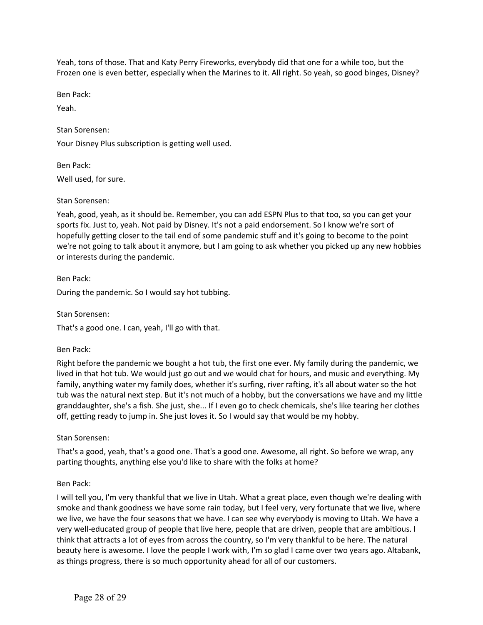Yeah, tons of those. That and Katy Perry Fireworks, everybody did that one for a while too, but the Frozen one is even better, especially when the Marines to it. All right. So yeah, so good binges, Disney?

Ben Pack:

Yeah.

Stan Sorensen:

Your Disney Plus subscription is getting well used.

Ben Pack:

Well used, for sure.

# Stan Sorensen:

Yeah, good, yeah, as it should be. Remember, you can add ESPN Plus to that too, so you can get your sports fix. Just to, yeah. Not paid by Disney. It's not a paid endorsement. So I know we're sort of hopefully getting closer to the tail end of some pandemic stuff and it's going to become to the point we're not going to talk about it anymore, but I am going to ask whether you picked up any new hobbies or interests during the pandemic.

Ben Pack:

During the pandemic. So I would say hot tubbing.

Stan Sorensen:

That's a good one. I can, yeah, I'll go with that.

## Ben Pack:

Right before the pandemic we bought a hot tub, the first one ever. My family during the pandemic, we lived in that hot tub. We would just go out and we would chat for hours, and music and everything. My family, anything water my family does, whether it's surfing, river rafting, it's all about water so the hot tub was the natural next step. But it's not much of a hobby, but the conversations we have and my little granddaughter, she's a fish. She just, she... If I even go to check chemicals, she's like tearing her clothes off, getting ready to jump in. She just loves it. So I would say that would be my hobby.

Stan Sorensen:

That's a good, yeah, that's a good one. That's a good one. Awesome, all right. So before we wrap, any parting thoughts, anything else you'd like to share with the folks at home?

# Ben Pack:

I will tell you, I'm very thankful that we live in Utah. What a great place, even though we're dealing with smoke and thank goodness we have some rain today, but I feel very, very fortunate that we live, where we live, we have the four seasons that we have. I can see why everybody is moving to Utah. We have a very well-educated group of people that live here, people that are driven, people that are ambitious. I think that attracts a lot of eyes from across the country, so I'm very thankful to be here. The natural beauty here is awesome. I love the people I work with, I'm so glad I came over two years ago. Altabank, as things progress, there is so much opportunity ahead for all of our customers.